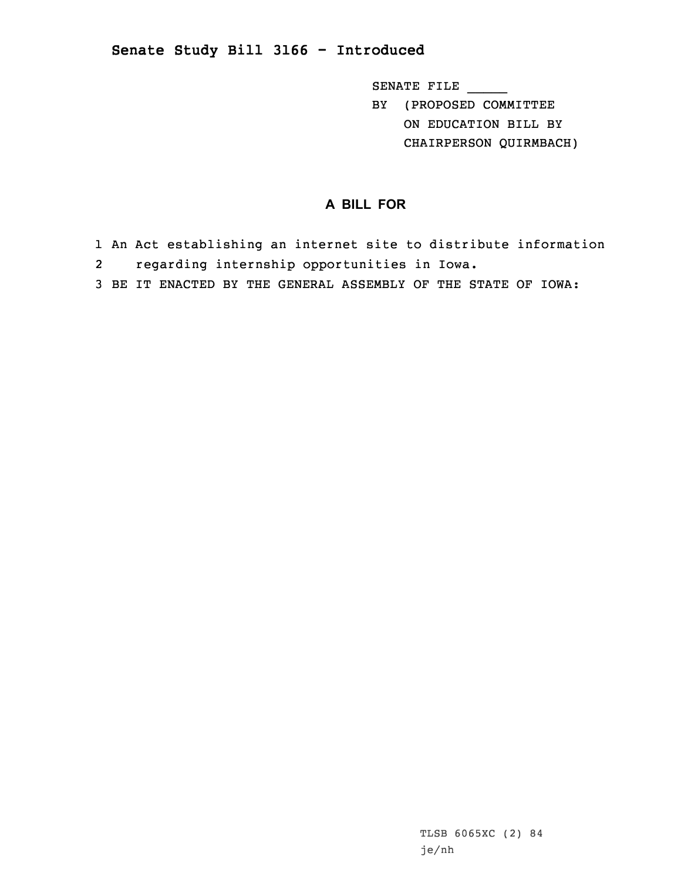## **Senate Study Bill 3166 - Introduced**

SENATE FILE \_\_\_\_\_

BY (PROPOSED COMMITTEE ON EDUCATION BILL BY CHAIRPERSON QUIRMBACH)

## **A BILL FOR**

- 1 An Act establishing an internet site to distribute information
- 2regarding internship opportunities in Iowa.
- 3 BE IT ENACTED BY THE GENERAL ASSEMBLY OF THE STATE OF IOWA: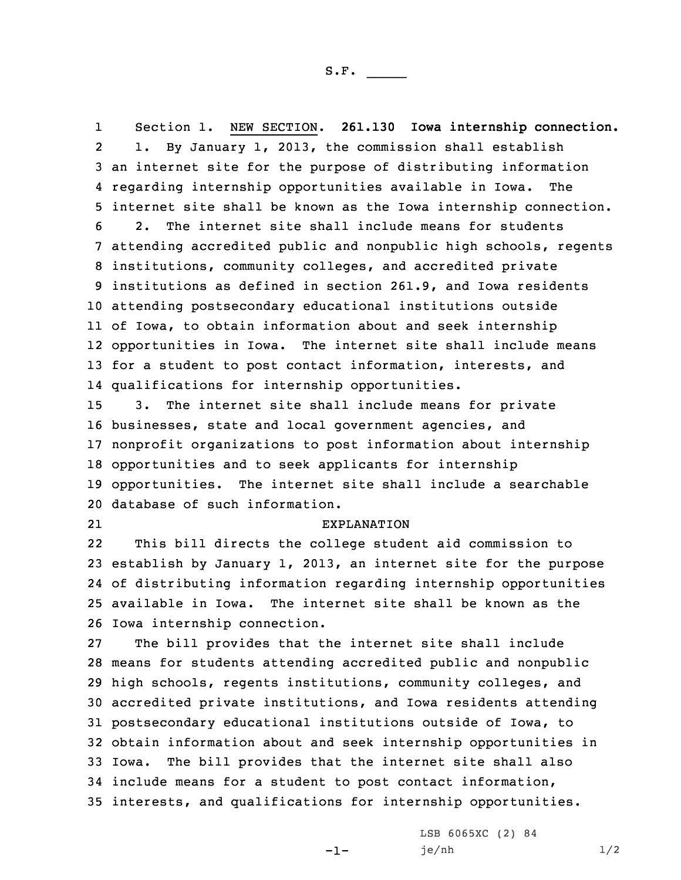1 Section 1. NEW SECTION. **261.130 Iowa internship connection.** 2 1. By January 1, 2013, the commission shall establish an internet site for the purpose of distributing information regarding internship opportunities available in Iowa. The internet site shall be known as the Iowa internship connection. 2. The internet site shall include means for students attending accredited public and nonpublic high schools, regents institutions, community colleges, and accredited private institutions as defined in section 261.9, and Iowa residents attending postsecondary educational institutions outside of Iowa, to obtain information about and seek internship opportunities in Iowa. The internet site shall include means for <sup>a</sup> student to post contact information, interests, and qualifications for internship opportunities. 3. The internet site shall include means for private

 businesses, state and local government agencies, and nonprofit organizations to post information about internship opportunities and to seek applicants for internship opportunities. The internet site shall include <sup>a</sup> searchable database of such information.

21

## EXPLANATION

22 This bill directs the college student aid commission to establish by January 1, 2013, an internet site for the purpose of distributing information regarding internship opportunities available in Iowa. The internet site shall be known as the Iowa internship connection.

 The bill provides that the internet site shall include means for students attending accredited public and nonpublic high schools, regents institutions, community colleges, and accredited private institutions, and Iowa residents attending postsecondary educational institutions outside of Iowa, to obtain information about and seek internship opportunities in Iowa. The bill provides that the internet site shall also include means for <sup>a</sup> student to post contact information, interests, and qualifications for internship opportunities.

-1-

LSB 6065XC (2) 84 je/nh 1/2